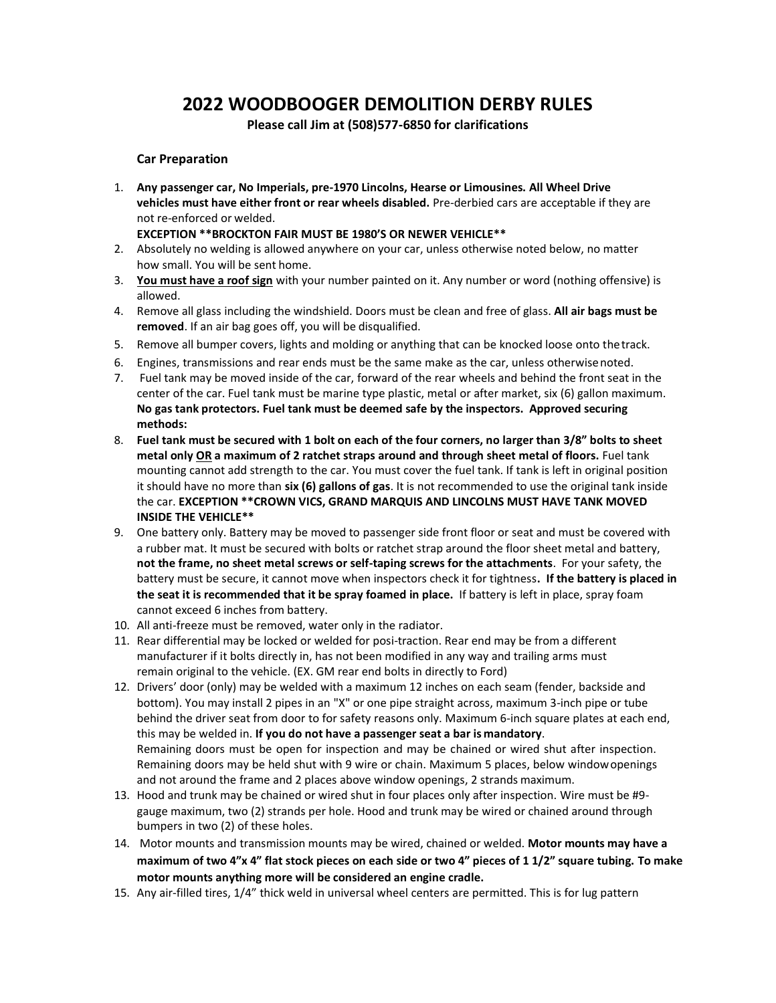## **2022 WOODBOOGER DEMOLITION DERBY RULES**

**Please call Jim at (508)577-6850 for clarifications**

## **Car Preparation**

1. **Any passenger car, No Imperials, pre-1970 Lincolns, Hearse or Limousines. All Wheel Drive vehicles must have either front or rear wheels disabled.** Pre-derbied cars are acceptable if they are not re-enforced or welded.

## **EXCEPTION \*\*BROCKTON FAIR MUST BE 1980'S OR NEWER VEHICLE\*\***

- 2. Absolutely no welding is allowed anywhere on your car, unless otherwise noted below, no matter how small. You will be sent home.
- 3. **You must have a roof sign** with your number painted on it. Any number or word (nothing offensive) is allowed.
- 4. Remove all glass including the windshield. Doors must be clean and free of glass. **All air bags must be removed**. If an air bag goes off, you will be disqualified.
- 5. Remove all bumper covers, lights and molding or anything that can be knocked loose onto thetrack.
- 6. Engines, transmissions and rear ends must be the same make as the car, unless otherwisenoted.
- 7. Fuel tank may be moved inside of the car, forward of the rear wheels and behind the front seat in the center of the car. Fuel tank must be marine type plastic, metal or after market, six (6) gallon maximum. **No gas tank protectors. Fuel tank must be deemed safe by the inspectors. Approved securing methods:**
- 8. **Fuel tank must be secured with 1 bolt on each of the four corners, no larger than 3/8" bolts to sheet metal only OR a maximum of 2 ratchet straps around and through sheet metal of floors.** Fuel tank mounting cannot add strength to the car. You must cover the fuel tank. If tank is left in original position it should have no more than **six (6) gallons of gas**. It is not recommended to use the original tank inside the car. **EXCEPTION \*\*CROWN VICS, GRAND MARQUIS AND LINCOLNS MUST HAVE TANK MOVED INSIDE THE VEHICLE\*\***
- 9. One battery only. Battery may be moved to passenger side front floor or seat and must be covered with a rubber mat. It must be secured with bolts or ratchet strap around the floor sheet metal and battery, **not the frame, no sheet metal screws or self-taping screws for the attachments**. For your safety, the battery must be secure, it cannot move when inspectors check it for tightness**. If the battery is placed in the seat it is recommended that it be spray foamed in place.** If battery is left in place, spray foam cannot exceed 6 inches from battery.
- 10. All anti-freeze must be removed, water only in the radiator.
- 11. Rear differential may be locked or welded for posi-traction. Rear end may be from a different manufacturer if it bolts directly in, has not been modified in any way and trailing arms must remain original to the vehicle. (EX. GM rear end bolts in directly to Ford)
- 12. Drivers' door (only) may be welded with a maximum 12 inches on each seam (fender, backside and bottom). You may install 2 pipes in an "X" or one pipe straight across, maximum 3-inch pipe or tube behind the driver seat from door to for safety reasons only. Maximum 6-inch square plates at each end, this may be welded in. **If you do not have a passenger seat a bar is mandatory**. Remaining doors must be open for inspection and may be chained or wired shut after inspection. Remaining doors may be held shut with 9 wire or chain. Maximum 5 places, below windowopenings and not around the frame and 2 places above window openings, 2 strands maximum.
- 13. Hood and trunk may be chained or wired shut in four places only after inspection. Wire must be #9 gauge maximum, two (2) strands per hole. Hood and trunk may be wired or chained around through bumpers in two (2) of these holes.
- 14. Motor mounts and transmission mounts may be wired, chained or welded. **Motor mounts may have a maximum of two 4"x 4" flat stock pieces on each side or two 4" pieces of 1 1/2" square tubing. To make motor mounts anything more will be considered an engine cradle.**
- 15. Any air-filled tires, 1/4" thick weld in universal wheel centers are permitted. This is for lug pattern